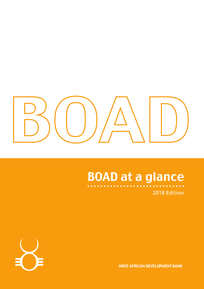

# BOAD at a glance



2018 Edition

WEST AFRICAN DEVELOPMENT BANK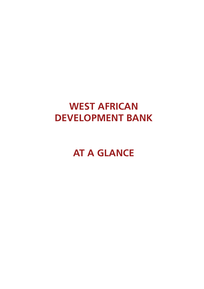## **WEST AFRICAN DEVELOPMENT BANK**

**AT A GLANCE**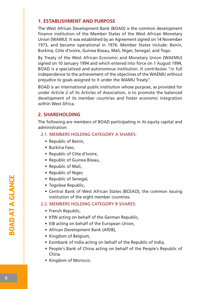#### **1. ESTABLISHMENT AND PURPOSE**

The West African Development Bank (BOAD) is the common development finance institution of the Member States of the West African Monetary Union (WAMU). It was established by an Agreement signed on 14 November 1973, and became operational in 1976. Member States include: Benin, Burkina, Côte d'Ivoire, Guinea Bissau, Mali, Niger, Senegal, and Togo.

By Treaty of the West African Economic and Monetary Union (WAEMU) signed on 10 January 1994 and which entered into force on 1 August 1994, BOAD is a specialized and autonomous institution. It contributes "in full independence to the achievement of the objectives of the WAEMU without prejudice to goals assigned to it under the WAMU Treaty".

BOAD is an international public institution whose purpose, as provided for under Article 2 of its Articles of Association, is to promote the balanced development of its member countries and foster economic integration within West Africa.

#### **2. SHAREHOLDING**

The following are members of BOAD participating in its equity capital and administration:

#### 2.1. MEMBERS HOLDING CATEGORY A SHARES:

- Republic of Benin,
- Burkina Faso,
- Republic of Côte d'Ivoire,
- Republic of Guinea Bissau,
- Republic of Mali,
- Republic of Niger,
- Republic of Senegal,
- Togolese Republic,
- Central Bank of West African States (BCEAO), the common issuing institution of the eight member countries.

#### 2.2. MEMBERS HOLDING CATEGORY B SHARES:

- French Republic,
- KfW acting on behalf of the German Republic,
- EIB acting on behalf of the European Union,
- African Development Bank (AfDB),
- Kingdom of Belgium,
- Eximbank of India acting on behalf of the Republic of India,
- People's Bank of China acting on behalf of the People's Republic of China
- Kingdom of Morocco.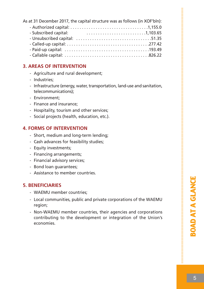| As at 31 December 2017, the capital structure was as follows (in XOF'bln): |
|----------------------------------------------------------------------------|
|                                                                            |
| - Subscribed capital:                                                      |
|                                                                            |
|                                                                            |
|                                                                            |
|                                                                            |

#### **3. AREAS OF INTERVENTION**

- Agriculture and rural development;
- Industries;
- Infrastructure (energy, water, transportation, land-use and sanitation, telecommunications);
- Environment;
- Finance and insurance;
- Hospitality, tourism and other services;
- Social projects (health, education, etc.).

#### **4. FORMS OF INTERVENTION**

- Short, medium and long-term lending;
- Cash advances for feasibility studies;
- Equity investments;
- Financing arrangements;
- Financial advisory services;
- Bond loan guarantees;
- Assistance to member countries.

#### **5. BENEFICIARIES**

- WAEMU member countries;
- Local communities, public and private corporations of the WAEMU region;
- Non-WAEMU member countries, their agencies and corporations contributing to the development or integration of the Union's economies.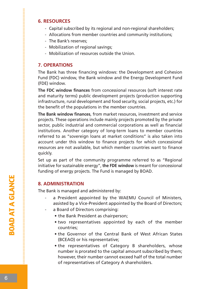#### **6. RESOURCES**

- Capital subscribed by its regional and non-regional shareholders;
- Allocations from member countries and community institutions;
- The Bank's reserves;
- Mobilization of regional savings;
- Mobilization of resources outside the Union.

#### **7. OPERATIONS**

The Bank has three financing windows: the Development and Cohesion Fund (FDC) window, the Bank window and the Energy Development Fund (FDE) window.

**The FDC window finances** from concessional resources (soft interest rate and maturity terms) public development projects (production supporting infrastructure, rural development and food security, social projects, etc.) for the benefit of the populations in the member countries.

**The Bank window finances**, from market resources, investment and service projects. These operations include mainly projects promoted by the private sector, public industrial and commercial corporations as well as financial institutions. Another category of long-term loans to member countries referred to as "sovereign loans at market conditions" is also taken into account under this window to finance projects for which concessional resources are not available, but which member countries want to finance quickly.

Set up as part of the community programme referred to as "Regional initiative for sustainable energy", **the FDE window** is meant for concessional funding of energy projects. The Fund is managed by BOAD.

#### **8. ADMINISTRATION**

The Bank is managed and administered by:

- a President appointed by the WAEMU Council of Ministers, assisted by a Vice-President appointed by the Board of Directors;
- a Board of Directors comprising:
	- the Bank President as chairperson;
	- two representatives appointed by each of the member countries;
	- the Governor of the Central Bank of West African States (BCEAO) or his representative;
	- the representatives of Category B shareholders, whose number is prorated to the capital amount subscribed by them; however, their number cannot exceed half of the total number of representatives of Category A shareholders.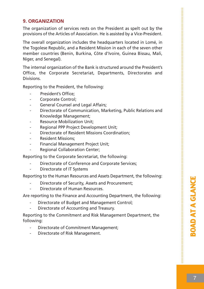#### **9. ORGANIZATION**

The organization of services rests on the President as spelt out by the provisions of the Articles of Association. He is assisted by a Vice-President.

The overall organization includes the headquarters located in Lomé, in the Togolese Republic, and a Resident Mission in each of the seven other member countries (Benin, Burkina, Côte d'Ivoire, Guinea Bissau, Mali, Niger, and Senegal).

The internal organization of the Bank is structured around the President's Office, the Corporate Secretariat, Departments, Directorates and **Divisions** 

Reporting to the President, the following:

- President's Office:
- Corporate Control:
- General Counsel and Legal Affairs;
- Directorate of Communication, Marketing, Public Relations and Knowledge Management;
- Resource Mobilization Unit;
- Regional PPP Project Development Unit;
- Directorate of Resident Missions Coordination:
- Resident Missions;
- Financial Management Project Unit;
- Regional Collaboration Center;

Reporting to the Corporate Secretariat, the following:

- Directorate of Conference and Corporate Services;
- Directorate of IT Systems

Reporting to the Human Resources and Assets Department, the following:

- Directorate of Security, Assets and Procurement;
- Directorate of Human Resources.

Are reporting to the Finance and Accounting Department, the following:

- Directorate of Budget and Management Control;
- Directorate of Accounting and Treasury.

Reporting to the Commitment and Risk Management Department, the following:

- Directorate of Commitment Management;
- Directorate of Risk Management.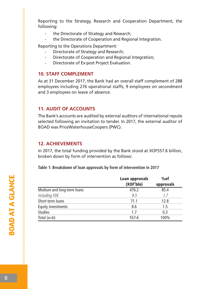Reporting to the Strategy, Research and Cooperation Department, the following:

- the Directorate of Strategy and Research;
- the Directorate of Cooperation and Regional Integration.

Reporting to the Operations Department:

- Directorate of Strategy and Research;
- Directorate of Cooperation and Regional Integration;
- Directorate of Ex-post Project Evaluation.

#### **10. STAFF COMPLEMENT**

As at 31 December 2017, the Bank had an overall staff complement of 288 employees including 276 operational staffs, 9 employees on secondment and 3 employees on leave of absence.

#### **11. AUDIT OF ACCOUNTS**

The Bank's accounts are audited by external auditors of international repute selected following an invitation to tender. In 2017, the external auditor of BOAD was PriceWaterhouseCoopers (PWC).

#### **12. ACHIEVEMENTS**

In 2017, the total funding provided by the Bank stood at XOF557.6 billion, broken down by form of intervention as follows:

**Table 1: Breakdown of loan approvals by form of intervention in 2017**

|                            | Loan approvals<br>(XOFbln) | %of<br>approvals |
|----------------------------|----------------------------|------------------|
| Medium and long-term loans | 476.2                      | 85.4             |
| including FDE              | 9.5                        | 1.7              |
| Short-term loans           | 71.1                       | 12.8             |
| Equity investments         | 8.6                        | 1.5              |
| <b>Studies</b>             | 1.7                        | 0.3              |
| Total $(a+b)$              | 557.6                      | 100%             |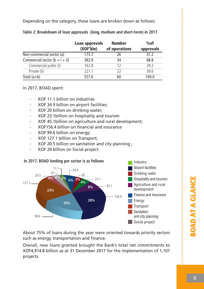Depending on the category, these loans are broken down as follows:

|                                    | Loan approvals<br>(XOFbln) | <b>Number</b><br>of operations | %of<br>approvals |
|------------------------------------|----------------------------|--------------------------------|------------------|
| Non-commercial sector (a)          | 173.7                      | 26                             | 31.2             |
| Commercial sector ( $b = i + ii$ ) | 383.9                      | 34                             | 68.8             |
| Commercial public (i)              | 162.8                      | 12                             | 29.2             |
| Private (ii)                       | 221.1                      | 22                             | 39.6             |
| Total $(a+b)$                      | 557.6                      | 60                             | 100.0            |

**Table 2: Breakdown of loan approvals (long, medium and short-term) in 2017**

In 2017, BOAD spent:

- XOF 11.1 billion on industries
- XOF 34.9 billion on airport facilities;
- XOF 20 billion on drinking water;
- XOF 23.1billion on hospitality and tourism
- XOF 45.1billion on agriculture and rural development;
- XOF156.4 billion on financial and insurance
- XOF 99.6 billion on energy;
- XOF 127.1 billion on Transport;
- XOF 20.5 billion on sanitation and city planning ;
- XOF 20 billion on Social project.



About 75% of loans during the year were oriented towards priority sectors such as energy, transportation and finance.

Overall, new loans granted brought the Bank's total net commitments to XOF4,914.8 billion as at 31 December 2017 for the implementation of 1,107 projects.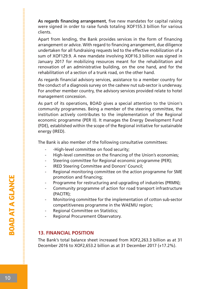**As regards financing arrangement**, five new mandates for capital raising were signed in order to raise funds totaling XOF155.3 billion for various clients.

Apart from lending, the Bank provides services in the form of financing arrangement or advice. With regard to financing arrangement, due diligence undertaken for all fundraising requests led to the effective mobilization of a sum of XOF129.9. A new mandate involving XOF16.3 billion was signed in January 2017 for mobilizing resources meant for the rehabilitation and renovation of an administrative building, on the one hand, and for the rehabilitation of a section of a trunk road, on the other hand.

As regards financial advisory services, assistance to a member country for the conduct of a diagnosis survey on the cashew nut sub-sector is underway. For another member country, the advisory services provided relate to hotel management concession.

As part of its operations, BOAD gives a special attention to the Union's community programmes. Being a member of the steering committee, the institution actively contributes to the implementation of the Regional economic programme (PER II). It manages the Energy Development Fund (FDE), established within the scope of the Regional initiative for sustainable energy (IRED).

The Bank is also member of the following consultative committees:

- -High-level committee on food security;
- High-level committee on the financing of the Union's economies;
- Steering committee for Regional economic programme (PER);
- IRED Steering Committee and Donors' Council;
- Regional monitoring committee on the action programme for SME promotion and financing;
- Programme for restructuring and upgrading of industries (PRMN);
- Community programme of action for road transport infrastructure (PACITR);
- Monitoring committee for the implementation of cotton sub-sector competitiveness programme in the WAEMU region;
- Regional Committee on Statistics:
- Regional Procurement Observatory.

#### **13. FINANCIAL POSITION**

The Bank's total balance sheet increased from XOF2,263.3 billion as at 31 December 2016 to XOF2,653.2 billion as at 31 December 2017 (+17.2%).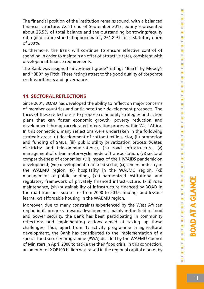The financial position of the institution remains sound, with a balanced financial structure. As at end of September 2017, equity represented about 25.5% of total balance and the outstanding borrowings/equity ratio (debt ratio) stood at approximately 261.89% for a statutory norm of 300%.

Furthermore, the Bank will continue to ensure effective control of spending in order to maintain an offer of attractive rates, consistent with development finance requirements.

The Bank was assigned "investment grade" ratings "Baa1" by Moody's and "BBB" by Fitch. These ratings attest to the good quality of corporate creditworthiness and governance.

#### **14. SECTORAL REFLECTIONS**

Since 2001, BOAD has developed the ability to reflect on major concerns of member countries and anticipate their development prospects. The focus of these reflections is to propose community strategies and action plans that can foster economic growth, poverty reduction and development through accelerated integration process within West Africa. In this connection, many reflections were undertaken in the following strategic areas: (i) development of cotton-textile sector, (ii) promotion and funding of SMEs, (iii) public utility privatization process (water, electricity and telecommunications), (iv) road infrastructure, (v) management of urban motor¬cycle mode of transportation, (vi) sectoral competitiveness of economies, (vii) impact of the HIV/AIDS pandemic on development, (viii) development of oilseed sector, (ix) cement industry in the WAEMU region, (x) hospitality in the WAEMU region, (xi) management of public holdings, (xii) harmonized institutional and regulatory framework of privately financed infrastructure, (xiii) road maintenance, (xiv) sustainability of infrastructure financed by BOAD in the road transport sub-sector from 2000 to 2012: findings and lessons learnt, xv) affordable housing in the WAEMU region.

Moreover, due to many constraints experienced by the West African region in its progress towards development, mainly in the field of food and power security, the Bank has been participating in community reflections and implementing actions aimed at taking up those challenges. Thus, apart from its activity programme in agricultural development, the Bank has contributed to the implementation of a special food security programme (PSSA) decided by the WAEMU Council of Ministers in April 2008 to tackle the then food crisis. In this connection, an amount of XOF100 billion was raised in the regional capital market by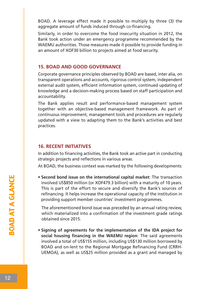BOAD. A leverage effect made it possible to multiply by three (3) the aggregate amount of funds induced through co-financing.

Similarly, in order to overcome the food insecurity situation in 2012, the Bank took action under an emergency programme recommended by the WAEMU authorities. Those measures made it possible to provide funding in an amount of XOF30 billion to projects aimed at food security.

#### **15. BOAD AND GOOD GOVERNANCE**

Corporate governance principles observed by BOAD are based, inter alia, on transparent operations and accounts, rigorous control system, independent external audit system, efficient information system, continued updating of knowledge and a decision-making process based on staff participation and accountability.

The Bank applies result and performance-based management system together with an objective-based management framework. As part of continuous improvement, management tools and procedures are regularly updated with a view to adapting them to the Bank's activities and best practices.

#### **16. RECENT INITIATIVES**

In addition to financing activities, the Bank took an active part in conducting strategic projects and reflections in various areas.

At BOAD, the business context was marked by the following developments:

• **Second bond issue on the international capital market**: The transaction involved US\$850 million (or XOF479.3 billion) with a maturity of 10 years. This is part of the effort to secure and diversify the Bank's sources of refinancing. It helps increase the operational capacity of the institution in providing support member countries' investment programmes.

The aforementioned bond issue was preceded by an annual rating review, which materialized into a confirmation of the investment grade ratings obtained since 2015.

• **Signing of agreements for the implementation of the IDA project for social housing financing in the WAEMU region**: The said agreements involved a total of US\$155 million, including US\$130 million borrowed by BOAD and on-lent to the Regional Mortgage Refinancing Fund (CRRH-UEMOA), as well as US\$25 million provided as a grant and managed by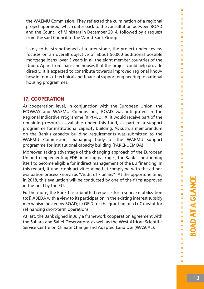the WAEMU Commission. They reflected the culmination of a regional project appraised, which dates back to the consultation between BOAD and the Council of Ministers in December 2014, followed by a request from the said Council to the World Bank Group.

Likely to be strengthened at a later stage, the project under review focuses on an overall objective of about 50,000 additional possible mortgage loans over 5 years in all the eight member countries of the Union. Apart from loans and houses that this project could help provide directly, it is expected to contribute towards improved regional knowhow in terms of technical and financial support engineering to national housing programmes.

#### **17. COOPERATION**

At cooperation level, in conjunction with the European Union, the ECOWAS and WAEMU Commissions, BOAD was integrated in the Regional Indicative Programme (RIP) –EDF X, it would receive part of the remaining resources available under this fund, as part of a support programme for institutional capacity building. As such, a memorandum on the Bank's capacity building requirements was submitted to the WAEMU Commission, managing body of the WAEMU support programme for institutional capacity building (PARCI-UEMOA).

Moreover, taking advantage of the changing approach of the European Union to implementing EDF financing packages, the Bank is positioning itself to become eligible for indirect management of the EU financing. In this regard, it undertook activities aimed at complying with the ad hoc evaluation process known as "Audit of 7 pillars". At the opportune time, in 2018, this evaluation will be conducted by one of the firms approved in the field by the EU.

Furthermore, the Bank has submitted requests for resource mobilization to: i) ABEDA with a view to its participation in the existing interest subsidy mechanism hosted by BOAD; ii) OFID for the granting of a LoC meant for refinancing short-term operations.

At last, the Bank signed in July a framework cooperation agreement with the Sahara and Sahel Observatory, as well as the West African Scientific Service Centre on Climate Change and Adapted Land Use (WASCAL).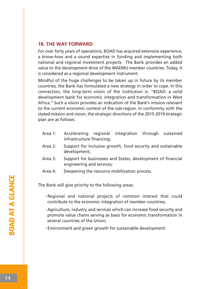#### **18. THE WAY FORWARD**

For over forty years of operations, BOAD has acquired extensive experience, a know-how and a sound expertise in funding and implementing both national and regional investment projects. The Bank provides an added value to the development drive of the WAEMU member countries. Today, it is considered as a regional development instrument.

Mindful of the huge challenges to be taken up in future by its member countries, the Bank has formulated a new strategy in order to cope. In this connection, the long-term vision of the institution is: "BOAD: a solid development bank for economic integration and transformation in West Africa." Such a vision provides an indication of the Bank's mission relevant to the current economic context of the sub-region. In conformity with the stated mission and vision, the strategic directions of the 2015-2019 strategic plan are as follows:

- Area 1: Accelerating regional integration through sustained infrastructure financing;
- Area 2: Support for inclusive growth, food security and sustainable development;
- Area 3: Support for businesses and States, development of financial engineering and services;
- Area 4: Deepening the resource mobilization process.

The Bank will give priority to the following areas:

- Regional and national projects of common interest that could contribute to the economic integration of member countries;
- Agriculture, industry and services which can increase food security and promote value chains serving as basis for economic transformation in several countries of the Union;
- Environment and green growth for sustainable development.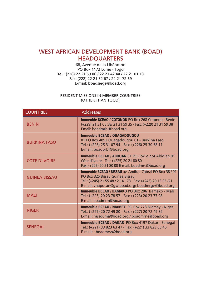### WEST AFRICAN DEVELOPMENT BANK (BOAD) **HEADOUARTERS**

68, Avenue de la Libération PO Box 1172 Lomé - Togo Tel.: (228) 22 21 59 06 / 22 21 42 44 / 22 21 01 13 Fax: (228) 22 21 52 67 / 22 21 72 69 E-mail: boadsiege@boad.org

RESIDENT MISSIONS IN MEMBER COUNTRIES (OTHER THAN TOGO)

| <b>COUNTRIES</b>     | <b>Addresses</b>                                                                                                                                                                                                    |
|----------------------|---------------------------------------------------------------------------------------------------------------------------------------------------------------------------------------------------------------------|
| <b>BENIN</b>         | <b>Immeuble BCEAO / COTONOU PO Box 268 Cotonou - Benin</b><br>(+229) 21 31 05 58/ 21 31 59 35 - Fax: (+229) 21 31 59 38<br>Email: boadmrbj@boad.org                                                                 |
| <b>BURKINA FASO</b>  | <b>Immeuble BCEAO / OUAGADOUGOU</b><br>01 PO Box 4892 Ouagadougou 01 - Burkina Faso<br>Tel.: (+226) 25 31 07 94 - Fax: (+226) 25 30 58 11<br>E-mail: boadbrbf@boad.org                                              |
| <b>COTE D'IVOIRE</b> | <b>Immeuble BCEAO / ABIDJAN 01 PO Box V 224 Abidjan 01</b><br>Côte d'Ivoire - Tel.: (+225) 20 21 80 80<br>Fax: (+225) 20 21 80 00 E-mail: boadmrci@boad.org                                                         |
| <b>GUINEA BISSAU</b> | <b>Immeuble BCEAO / BISSAU av. Amilcar Cabral PO Box 38 / 01</b><br>PO Box 325 Bissau Guinea Bissau<br>Tel.: (+245) 21 55 48 / 21 41 73  Fax: (+245) 20 13 05 /21<br>E-mail: vnapocan@gw.boad.org/boadmrgw@boad.org |
| <b>MALI</b>          | <b>Immeuble BCEAO / BAMAKO PO Box 206 Bamako - Mali</b><br>Tel.: (+223) 20 23 78 57 - Fax: (+223) 20 23 77 98<br>E-mail: boadmrml@boad.org                                                                          |
| <b>NIGER</b>         | <b>Immeuble BCEAO / NIAMEY</b> PO Box 778 Niamey - Niger<br>Tel.: (+227) 20 72 49 80 - Fax: (+227) 20 72 49 82<br>E-mail: rassouma@boad.org / boadmrne@boad.org                                                     |
| <b>SENEGAL</b>       | <b>Immeuble BCEAO / DAKAR</b> PO Box 4197 Dakar - Senegal<br>Tel.: (+221) 33 823 63 47 - Fax: (+221) 33 823 63 46<br>E-mail:: boadmrsn@boad.org                                                                     |